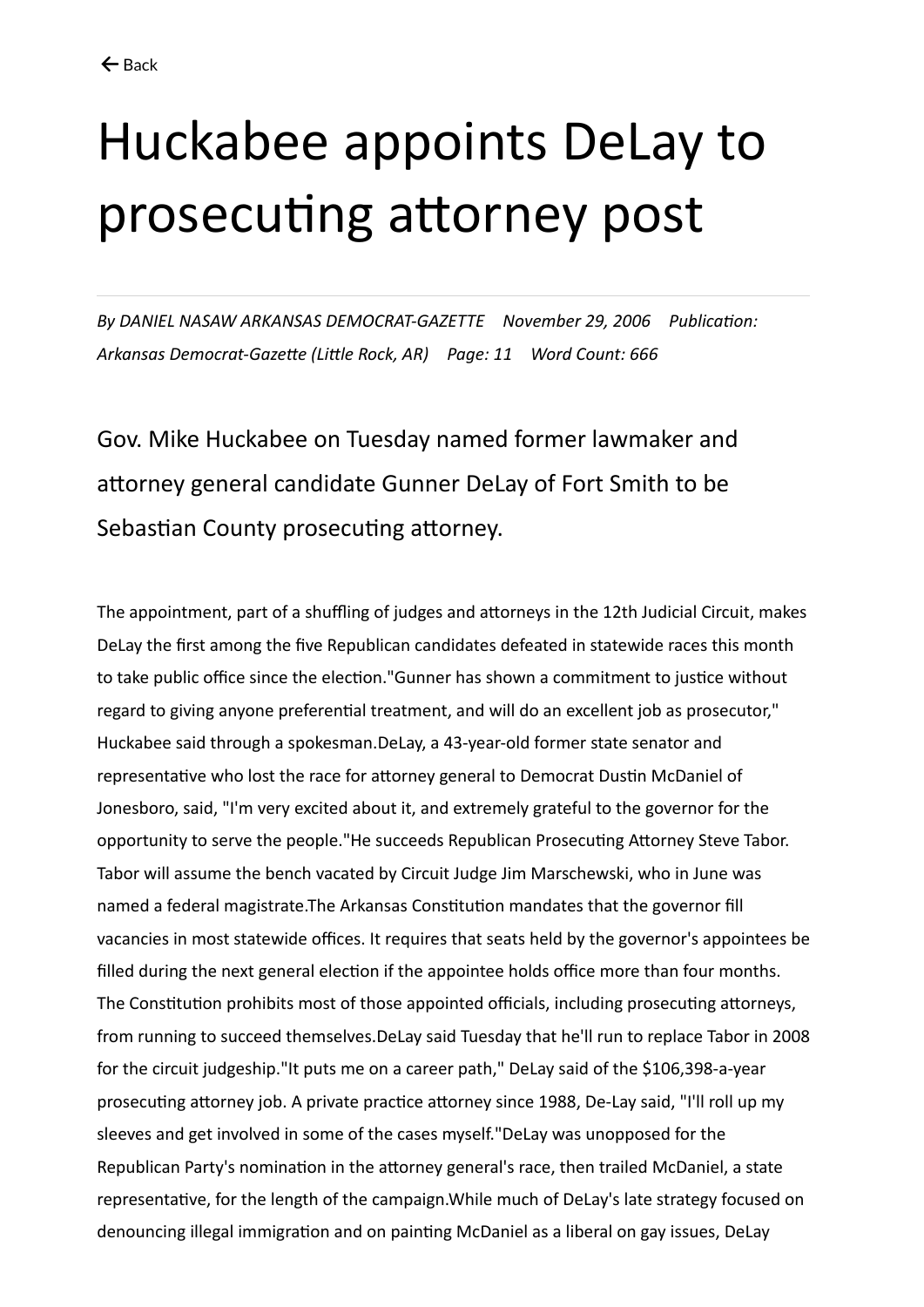## Huckabee appoints DeLay to prosecuting attorney post

*By DANIEL NASAW ARKANSAS DEMOCRAT-GAZETTE November 29, 2006 Publication: Arkansas Democrat-Gazette (Little Rock, AR) Page: 11 Word Count: 666*

Gov. Mike Huckabee on Tuesday named former lawmaker and attorney general candidate Gunner DeLay of Fort Smith to be Sebastian County prosecuting attorney.

The appointment, part of a shuffling of judges and attorneys in the 12th Judicial Circuit, makes DeLay the first among the five Republican candidates defeated in statewide races this month to take public office since the election."Gunner has shown a commitment to justice without regard to giving anyone preferential treatment, and will do an excellent job as prosecutor," Huckabee said through a spokesman.DeLay, a 43-year-old former state senator and representative who lost the race for attorney general to Democrat Dustin McDaniel of Jonesboro, said, "I'm very excited about it, and extremely grateful to the governor for the opportunity to serve the people."He succeeds Republican Prosecuting Attorney Steve Tabor. Tabor will assume the bench vacated by Circuit Judge Jim Marschewski, who in June was named a federal magistrate.The Arkansas Constitution mandates that the governor fill vacancies in most statewide offices. It requires that seats held by the governor's appointees be filled during the next general election if the appointee holds office more than four months. The Constitution prohibits most of those appointed officials, including prosecuting attorneys, from running to succeed themselves.DeLay said Tuesday that he'll run to replace Tabor in 2008 for the circuit judgeship."It puts me on a career path," DeLay said of the \$106,398-a-year prosecuting attorney job. A private practice attorney since 1988, De-Lay said, "I'll roll up my sleeves and get involved in some of the cases myself."DeLay was unopposed for the Republican Party's nomination in the attorney general's race, then trailed McDaniel, a state representative, for the length of the campaign.While much of DeLay's late strategy focused on denouncing illegal immigration and on painting McDaniel as a liberal on gay issues, DeLay